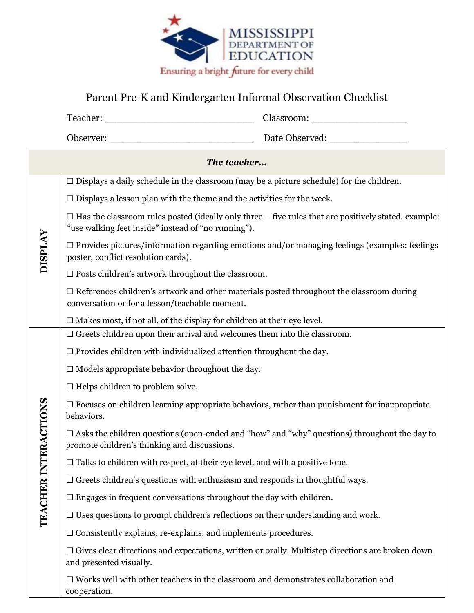

## Parent Pre-K and Kindergarten Informal Observation Checklist

| The teacher                     |                                                                                                                                                   |                                                                                                               |  |
|---------------------------------|---------------------------------------------------------------------------------------------------------------------------------------------------|---------------------------------------------------------------------------------------------------------------|--|
| <b>DISPLAY</b>                  |                                                                                                                                                   | $\Box$ Displays a daily schedule in the classroom (may be a picture schedule) for the children.               |  |
|                                 |                                                                                                                                                   | $\square$ Displays a lesson plan with the theme and the activities for the week.                              |  |
|                                 | "use walking feet inside" instead of "no running").                                                                                               | $\Box$ Has the classroom rules posted (ideally only three $-$ five rules that are positively stated. example: |  |
|                                 | poster, conflict resolution cards).                                                                                                               | $\Box$ Provides pictures/information regarding emotions and/or managing feelings (examples: feelings          |  |
|                                 | $\Box$ Posts children's artwork throughout the classroom.                                                                                         |                                                                                                               |  |
|                                 | $\Box$ References children's artwork and other materials posted throughout the classroom during<br>conversation or for a lesson/teachable moment. |                                                                                                               |  |
|                                 | $\Box$ Makes most, if not all, of the display for children at their eye level.                                                                    |                                                                                                               |  |
| <b>FRACTIONS</b><br>TEACHER INT | $\Box$ Greets children upon their arrival and welcomes them into the classroom.                                                                   |                                                                                                               |  |
|                                 | $\Box$ Provides children with individualized attention throughout the day.                                                                        |                                                                                                               |  |
|                                 | $\Box$ Models appropriate behavior throughout the day.                                                                                            |                                                                                                               |  |
|                                 | $\Box$ Helps children to problem solve.                                                                                                           |                                                                                                               |  |
|                                 | behaviors.                                                                                                                                        | $\Box$ Focuses on children learning appropriate behaviors, rather than punishment for inappropriate           |  |
|                                 | promote children's thinking and discussions.                                                                                                      | $\Box$ Asks the children questions (open-ended and "how" and "why" questions) throughout the day to           |  |
|                                 |                                                                                                                                                   | $\Box$ Talks to children with respect, at their eye level, and with a positive tone.                          |  |
|                                 |                                                                                                                                                   | $\Box$ Greets children's questions with enthusiasm and responds in thoughtful ways.                           |  |
|                                 |                                                                                                                                                   | $\Box$ Engages in frequent conversations throughout the day with children.                                    |  |
|                                 |                                                                                                                                                   | $\Box$ Uses questions to prompt children's reflections on their understanding and work.                       |  |
|                                 |                                                                                                                                                   | $\Box$ Consistently explains, re-explains, and implements procedures.                                         |  |
|                                 | $\Box$ Gives clear directions and expectations, written or orally. Multistep directions are broken down<br>and presented visually.                |                                                                                                               |  |
|                                 | cooperation.                                                                                                                                      | $\Box$ Works well with other teachers in the classroom and demonstrates collaboration and                     |  |